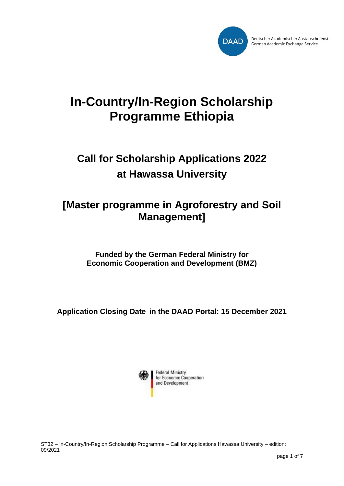

# **In-Country/In-Region Scholarship Programme Ethiopia**

# **Call for Scholarship Applications 2022 at Hawassa University**

# **[Master programme in Agroforestry and Soil Management]**

**Funded by the German Federal Ministry for Economic Cooperation and Development (BMZ)**

**Application Closing Date in the DAAD Portal: 15 December 2021**



ST32 – In-Country/In-Region Scholarship Programme – Call for Applications Hawassa University – edition: 09/2021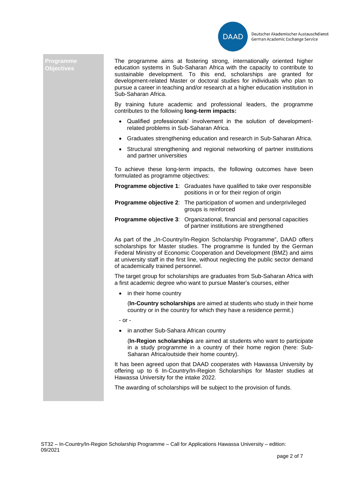

### **Programme Objectives**

The programme aims at fostering strong, internationally oriented higher education systems in Sub-Saharan Africa with the capacity to contribute to sustainable development. To this end, scholarships are granted for development-related Master or doctoral studies for individuals who plan to pursue a career in teaching and/or research at a higher education institution in Sub-Saharan Africa.

By training future academic and professional leaders, the programme contributes to the following **long-term impacts:**

- Qualified professionals' involvement in the solution of developmentrelated problems in Sub-Saharan Africa.
- Graduates strengthening education and research in Sub-Saharan Africa.
- Structural strengthening and regional networking of partner institutions and partner universities

To achieve these long-term impacts, the following outcomes have been formulated as programme objectives:

| <b>Programme objective 1:</b> Graduates have qualified to take over responsible<br>positions in or for their region of origin |
|-------------------------------------------------------------------------------------------------------------------------------|
| <b>Programme objective 2:</b> The participation of women and underprivileged<br>groups is reinforced                          |
| <b>Programme objective 3:</b> Organizational, financial and personal capacities<br>of partner institutions are strengthened   |

As part of the ..In-Country/In-Region Scholarship Programme", DAAD offers scholarships for Master studies. The programme is funded by the German Federal Ministry of Economic Cooperation and Development (BMZ) and aims at university staff in the first line, without neglecting the public sector demand of academically trained personnel.

The target group for scholarships are graduates from Sub-Saharan Africa with a first academic degree who want to pursue Master's courses, either

• in their home country

(**In-Country scholarships** are aimed at students who study in their home country or in the country for which they have a residence permit.)

- or -

• in another Sub-Sahara African country

(**In-Region scholarships** are aimed at students who want to participate in a study programme in a country of their home region (here: Sub-Saharan Africa/outside their home country).

It has been agreed upon that DAAD cooperates with Hawassa University by offering up to 6 In-Country/In-Region Scholarships for Master studies at Hawassa University for the intake 2022.

The awarding of scholarships will be subject to the provision of funds.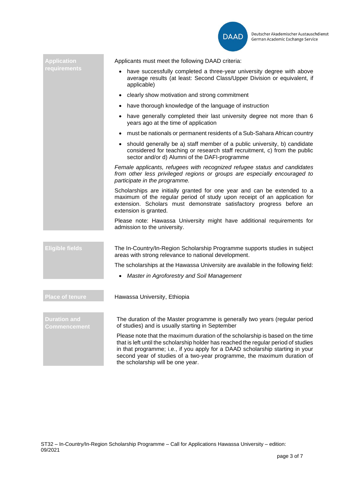

| <b>Application</b>           | Applicants must meet the following DAAD criteria:                                                                                                                                                                                                                                                                                                                     |
|------------------------------|-----------------------------------------------------------------------------------------------------------------------------------------------------------------------------------------------------------------------------------------------------------------------------------------------------------------------------------------------------------------------|
| requirements                 | have successfully completed a three-year university degree with above<br>average results (at least: Second Class/Upper Division or equivalent, if<br>applicable)                                                                                                                                                                                                      |
|                              | • clearly show motivation and strong commitment                                                                                                                                                                                                                                                                                                                       |
|                              | • have thorough knowledge of the language of instruction                                                                                                                                                                                                                                                                                                              |
|                              | • have generally completed their last university degree not more than 6<br>years ago at the time of application                                                                                                                                                                                                                                                       |
|                              | must be nationals or permanent residents of a Sub-Sahara African country<br>$\bullet$                                                                                                                                                                                                                                                                                 |
|                              | • should generally be a) staff member of a public university, b) candidate<br>considered for teaching or research staff recruitment, c) from the public<br>sector and/or d) Alumni of the DAFI-programme                                                                                                                                                              |
|                              | Female applicants, refugees with recognized refugee status and candidates<br>from other less privileged regions or groups are especially encouraged to<br>participate in the programme.                                                                                                                                                                               |
|                              | Scholarships are initially granted for one year and can be extended to a<br>maximum of the regular period of study upon receipt of an application for<br>extension. Scholars must demonstrate satisfactory progress before an<br>extension is granted.                                                                                                                |
|                              | Please note: Hawassa University might have additional requirements for<br>admission to the university.                                                                                                                                                                                                                                                                |
| <b>Eligible fields</b>       | The In-Country/In-Region Scholarship Programme supports studies in subject<br>areas with strong relevance to national development.                                                                                                                                                                                                                                    |
|                              | The scholarships at the Hawassa University are available in the following field:                                                                                                                                                                                                                                                                                      |
|                              | Master in Agroforestry and Soil Management                                                                                                                                                                                                                                                                                                                            |
|                              |                                                                                                                                                                                                                                                                                                                                                                       |
| <b>Place of tenure</b>       | Hawassa University, Ethiopia                                                                                                                                                                                                                                                                                                                                          |
|                              |                                                                                                                                                                                                                                                                                                                                                                       |
| Duration and<br>Commencement | The duration of the Master programme is generally two years (regular period<br>of studies) and is usually starting in September                                                                                                                                                                                                                                       |
|                              | Please note that the maximum duration of the scholarship is based on the time<br>that is left until the scholarship holder has reached the regular period of studies<br>in that programme; i.e., if you apply for a DAAD scholarship starting in your<br>second year of studies of a two-year programme, the maximum duration of<br>the scholarship will be one year. |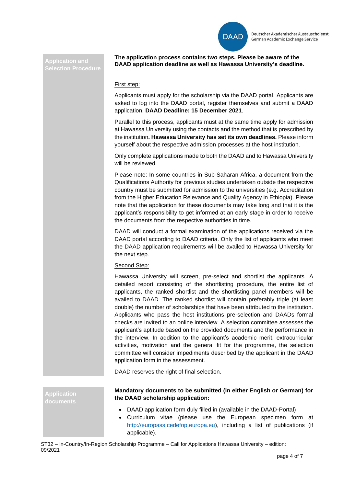

**Application and Selection Procedure** 

**The application process contains two steps. Please be aware of the DAAD application deadline as well as Hawassa University's deadline.**

## First step:

Applicants must apply for the scholarship via the DAAD portal. Applicants are asked to log into the DAAD portal, register themselves and submit a DAAD application. **DAAD Deadline: 15 December 2021**.

Parallel to this process, applicants must at the same time apply for admission at Hawassa University using the contacts and the method that is prescribed by the institution**. Hawassa University has set its own deadlines.** Please inform yourself about the respective admission processes at the host institution.

Only complete applications made to both the DAAD and to Hawassa University will be reviewed.

Please note: In some countries in Sub-Saharan Africa, a document from the Qualifications Authority for previous studies undertaken outside the respective country must be submitted for admission to the universities (e.g. Accreditation from the Higher Education Relevance and Quality Agency in Ethiopia). Please note that the application for these documents may take long and that it is the applicant's responsibility to get informed at an early stage in order to receive the documents from the respective authorities in time.

DAAD will conduct a formal examination of the applications received via the DAAD portal according to DAAD criteria. Only the list of applicants who meet the DAAD application requirements will be availed to Hawassa University for the next step.

## Second Step:

Hawassa University will screen, pre-select and shortlist the applicants. A detailed report consisting of the shortlisting procedure, the entire list of applicants, the ranked shortlist and the shortlisting panel members will be availed to DAAD. The ranked shortlist will contain preferably triple (at least double) the number of scholarships that have been attributed to the institution. Applicants who pass the host institutions pre-selection and DAADs formal checks are invited to an online interview. A selection committee assesses the applicant's aptitude based on the provided documents and the performance in the interview. In addition to the applicant's academic merit, extracurricular activities, motivation and the general fit for the programme, the selection committee will consider impediments described by the applicant in the DAAD application form in the assessment.

DAAD reserves the right of final selection.

**Application documents**

## **Mandatory documents to be submitted (in either English or German) for the DAAD scholarship application:**

- DAAD application form duly filled in (available in the DAAD-Portal)
- Curriculum vitae (please use the European specimen form at [http://europass.cedefop.europa.eu\)](http://europass.cedefop.europa.eu/), including a list of publications (if applicable).

ST32 – In-Country/In-Region Scholarship Programme – Call for Applications Hawassa University – edition: 09/2021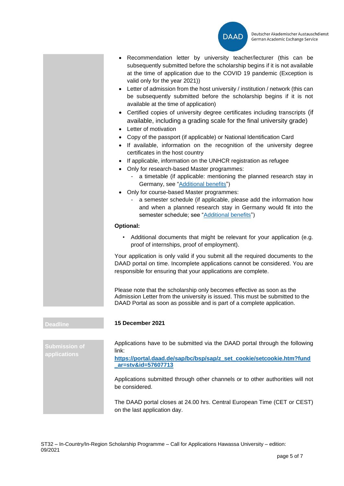

- Recommendation letter by university teacher/lecturer (this can be subsequently submitted before the scholarship begins if it is not available at the time of application due to the COVID 19 pandemic (Exception is valid only for the year 2021))
- Letter of admission from the host university / institution / network (this can be subsequently submitted before the scholarship begins if it is not available at the time of application)
- Certified copies of university degree certificates including transcripts (if available, including a grading scale for the final university grade)
- Letter of motivation
- Copy of the passport (if applicable) or National Identification Card
- If available, information on the recognition of the university degree certificates in the host country
- If applicable, information on the UNHCR registration as refugee
- Only for research-based Master programmes:
	- a timetable (if applicable: mentioning the planned research stay in Germany, see ["Additional benefits"](#page-5-0))
- Only for course-based Master programmes:
	- a semester schedule (if applicable, please add the information how and when a planned research stay in Germany would fit into the semester schedule; see ["Additional benefits"](#page-5-0))

## **Optional:**

Additional documents that might be relevant for your application (e.g. proof of internships, proof of employment).

Your application is only valid if you submit all the required documents to the DAAD portal on time. Incomplete applications cannot be considered. You are responsible for ensuring that your applications are complete.

Please note that the scholarship only becomes effective as soon as the Admission Letter from the university is issued. This must be submitted to the DAAD Portal as soon as possible and is part of a complete application.

**Submission of applications**

**Deadline 15 December 2021**

Applications have to be submitted via the DAAD portal through the following link:

**[https://portal.daad.de/sap/bc/bsp/sap/z\\_set\\_cookie/setcookie.htm?fund](https://portal.daad.de/sap/bc/bsp/sap/z_set_cookie/setcookie.htm?fund_ar=stv&id=57607713) [\\_ar=stv&id=57607713](https://portal.daad.de/sap/bc/bsp/sap/z_set_cookie/setcookie.htm?fund_ar=stv&id=57607713)**

Applications submitted through other channels or to other authorities will not be considered.

The DAAD portal closes at 24.00 hrs. Central European Time (CET or CEST) on the last application day.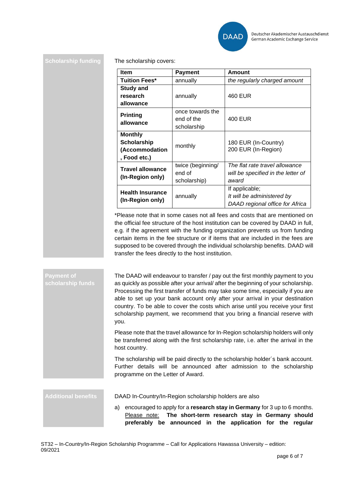

### **Scholarship funding** The scholarship covers:

| <b>Item</b>                                 | <b>Payment</b>    | <b>Amount</b>                               |
|---------------------------------------------|-------------------|---------------------------------------------|
| Tuition Fees*                               | annually          | the regularly charged amount                |
| <b>Study and</b>                            |                   |                                             |
| research                                    | annually          | 460 EUR                                     |
| allowance                                   |                   |                                             |
| <b>Printing</b><br>allowance                | once towards the  |                                             |
|                                             | end of the        | 400 EUR                                     |
|                                             | scholarship       |                                             |
| <b>Monthly</b>                              |                   |                                             |
| <b>Scholarship</b>                          | monthly           | 180 EUR (In-Country)<br>200 EUR (In-Region) |
| (Accommodation                              |                   |                                             |
| , Food etc.)                                |                   |                                             |
| Travel allowance<br>(In-Region only)        | twice (beginning/ | The flat rate travel allowance              |
|                                             | end of            | will be specified in the letter of          |
|                                             | scholarship)      | award                                       |
| <b>Health Insurance</b><br>(In-Region only) |                   | If applicable;                              |
|                                             | annually          | It will be administered by                  |
|                                             |                   | DAAD regional office for Africa             |

\*Please note that in some cases not all fees and costs that are mentioned on the official fee structure of the host institution can be covered by DAAD in full, e.g. if the agreement with the funding organization prevents us from funding certain items in the fee structure or if items that are included in the fees are supposed to be covered through the individual scholarship benefits. DAAD will transfer the fees directly to the host institution.

#### **Payment of scholarship funds** The DAAD will endeavour to transfer / pay out the first monthly payment to you as quickly as possible after your arrival/ after the beginning of your scholarship. Processing the first transfer of funds may take some time, especially if you are able to set up your bank account only after your arrival in your destination country. To be able to cover the costs which arise until you receive your first scholarship payment, we recommend that you bring a financial reserve with you.

Please note that the travel allowance for In-Region scholarship holders will only be transferred along with the first scholarship rate, i.e. after the arrival in the host country.

The scholarship will be paid directly to the scholarship holder´s bank account. Further details will be announced after admission to the scholarship programme on the Letter of Award.

<span id="page-5-0"></span>**Additional benefits** DAAD In-Country/In-Region scholarship holders are also

a) encouraged to apply for a **research stay in Germany** for 3 up to 6 months. Please note: **The short-term research stay in Germany should preferably be announced in the application for the regular**